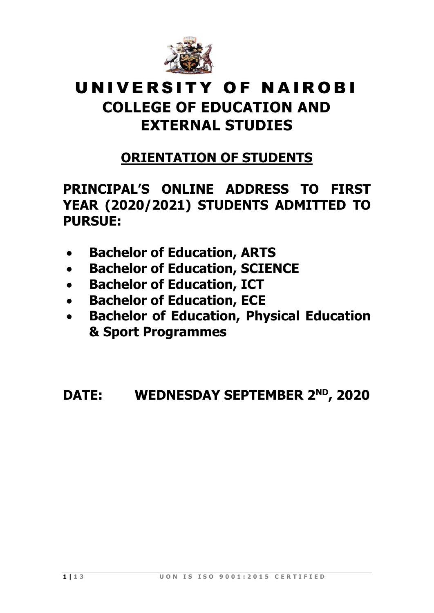

### UNIVERSITY OF NAIROBI **COLLEGE OF EDUCATION AND**

# **EXTERNAL STUDIES**

## **ORIENTATION OF STUDENTS**

#### **PRINCIPAL'S ONLINE ADDRESS TO FIRST YEAR (2020/2021) STUDENTS ADMITTED TO PURSUE:**

- **Bachelor of Education, ARTS**
- **Bachelor of Education, SCIENCE**
- **Bachelor of Education, ICT**
- **Bachelor of Education, ECE**
- **Bachelor of Education, Physical Education & Sport Programmes**

#### **DATE: WEDNESDAY SEPTEMBER 2<sup>ND</sup>, 2020**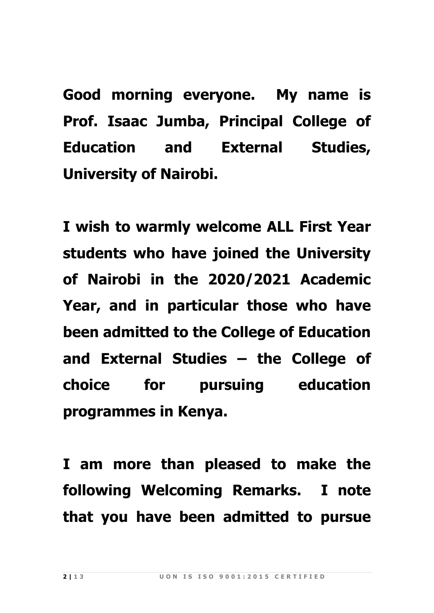**Good morning everyone. My name is Prof. Isaac Jumba, Principal College of Education and External Studies, University of Nairobi.**

**I wish to warmly welcome ALL First Year students who have joined the University of Nairobi in the 2020/2021 Academic Year, and in particular those who have been admitted to the College of Education and External Studies – the College of choice for pursuing education programmes in Kenya.**

**I am more than pleased to make the following Welcoming Remarks. I note that you have been admitted to pursue**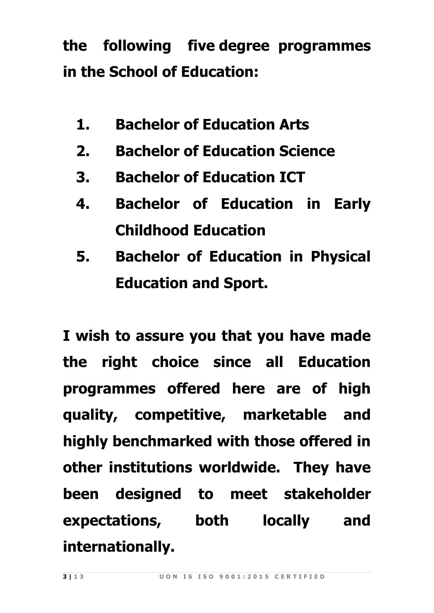**the following five degree programmes in the School of Education:**

- **1. Bachelor of Education Arts**
- **2. Bachelor of Education Science**
- **3. Bachelor of Education ICT**
- **4. Bachelor of Education in Early Childhood Education**
- **5. Bachelor of Education in Physical Education and Sport.**

**I wish to assure you that you have made the right choice since all Education programmes offered here are of high quality, competitive, marketable and highly benchmarked with those offered in other institutions worldwide. They have been designed to meet stakeholder expectations, both locally and internationally.**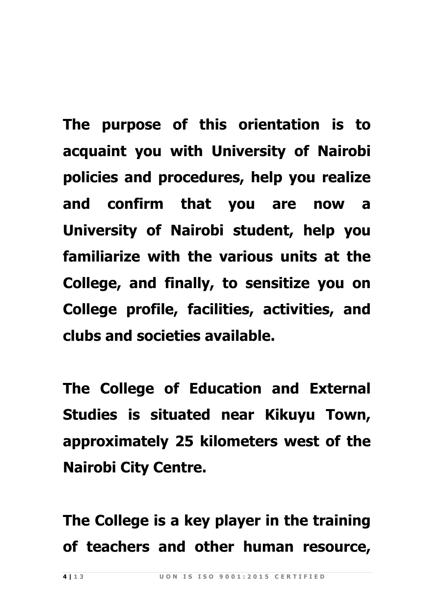**The purpose of this orientation is to acquaint you with University of Nairobi policies and procedures, help you realize and confirm that you are now a University of Nairobi student, help you familiarize with the various units at the College, and finally, to sensitize you on College profile, facilities, activities, and clubs and societies available.** 

**The College of Education and External Studies is situated near Kikuyu Town, approximately 25 kilometers west of the Nairobi City Centre.** 

**The College is a key player in the training of teachers and other human resource,**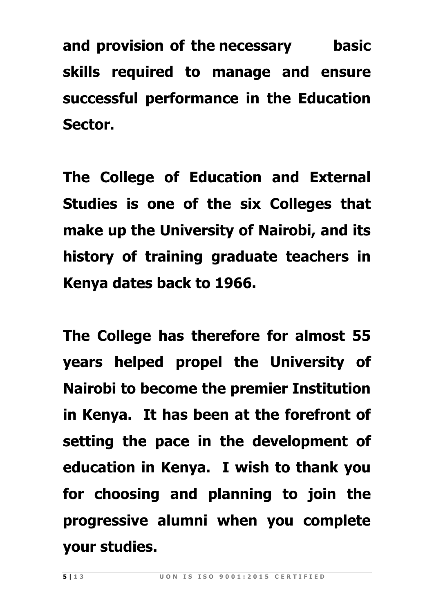**and provision of the necessary basic skills required to manage and ensure successful performance in the Education Sector.** 

**The College of Education and External Studies is one of the six Colleges that make up the University of Nairobi, and its history of training graduate teachers in Kenya dates back to 1966.**

**The College has therefore for almost 55 years helped propel the University of Nairobi to become the premier Institution in Kenya. It has been at the forefront of setting the pace in the development of education in Kenya. I wish to thank you for choosing and planning to join the progressive alumni when you complete your studies.**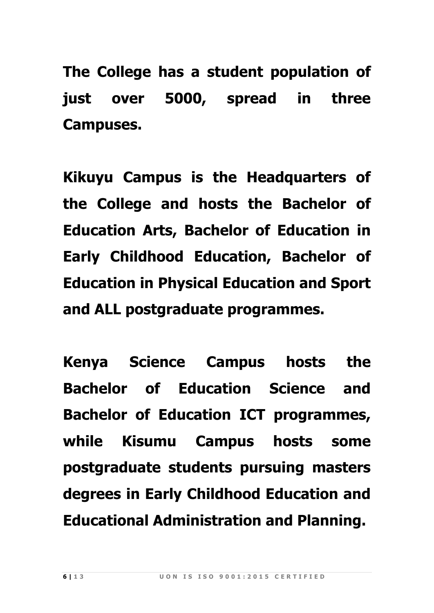**The College has a student population of just over 5000, spread in three Campuses.**

**Kikuyu Campus is the Headquarters of the College and hosts the Bachelor of Education Arts, Bachelor of Education in Early Childhood Education, Bachelor of Education in Physical Education and Sport and ALL postgraduate programmes.** 

**Kenya Science Campus hosts the Bachelor of Education Science and Bachelor of Education ICT programmes, while Kisumu Campus hosts some postgraduate students pursuing masters degrees in Early Childhood Education and Educational Administration and Planning.**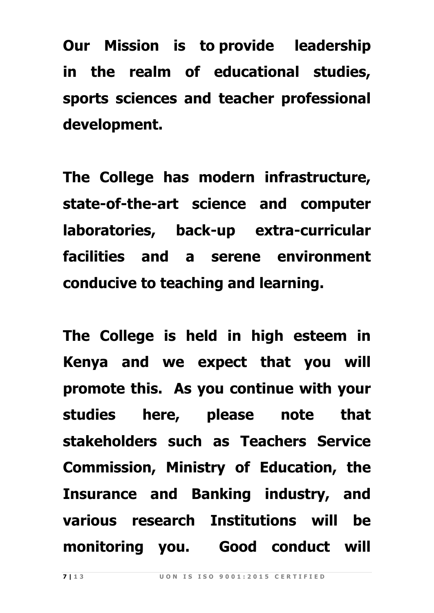**Our Mission is to provide leadership in the realm of educational studies, sports sciences and teacher professional development.**

**The College has modern infrastructure, state-of-the-art science and computer laboratories, back-up extra-curricular facilities and a serene environment conducive to teaching and learning.**

**The College is held in high esteem in Kenya and we expect that you will promote this. As you continue with your studies here, please note that stakeholders such as Teachers Service Commission, Ministry of Education, the Insurance and Banking industry, and various research Institutions will be monitoring you. Good conduct will**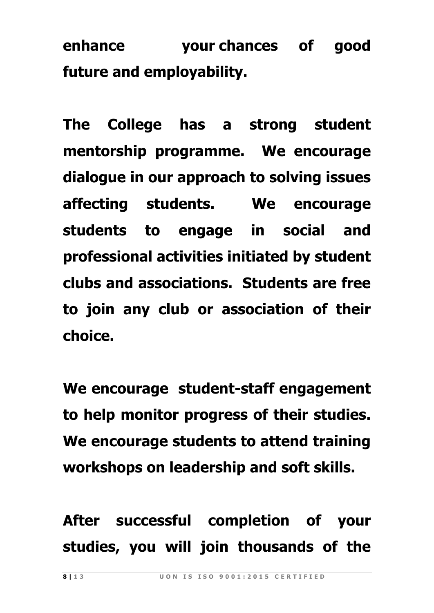**enhance your chances of good future and employability.**

**The College has a strong student mentorship programme. We encourage dialogue in our approach to solving issues affecting students. We encourage students to engage in social and professional activities initiated by student clubs and associations. Students are free to join any club or association of their choice.**

**We encourage student-staff engagement to help monitor progress of their studies. We encourage students to attend training workshops on leadership and soft skills.**

**After successful completion of your studies, you will join thousands of the**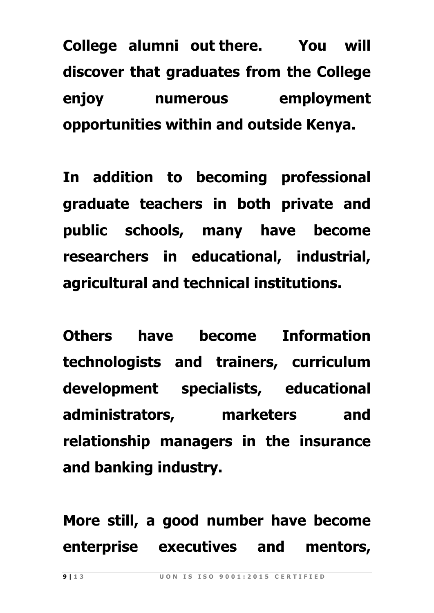**College alumni out there. You will discover that graduates from the College enjoy numerous employment opportunities within and outside Kenya.** 

**In addition to becoming professional graduate teachers in both private and public schools, many have become researchers in educational, industrial, agricultural and technical institutions.** 

**Others have become Information technologists and trainers, curriculum development specialists, educational administrators, marketers and relationship managers in the insurance and banking industry.**

**More still, a good number have become enterprise executives and mentors,**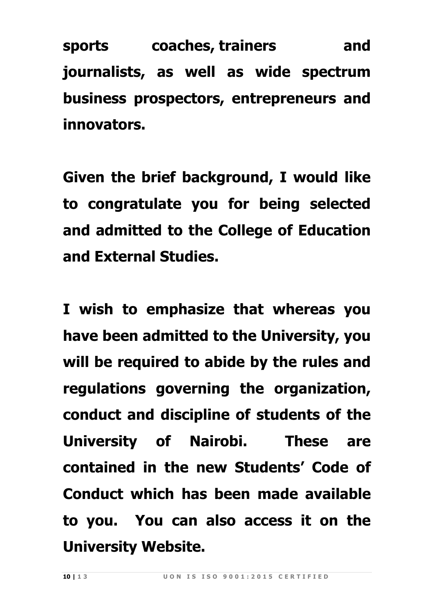**sports coaches, trainers and journalists, as well as wide spectrum business prospectors, entrepreneurs and innovators.**

**Given the brief background, I would like to congratulate you for being selected and admitted to the College of Education and External Studies.**

**I wish to emphasize that whereas you have been admitted to the University, you will be required to abide by the rules and regulations governing the organization, conduct and discipline of students of the University of Nairobi. These are contained in the new Students' Code of Conduct which has been made available to you. You can also access it on the University Website.**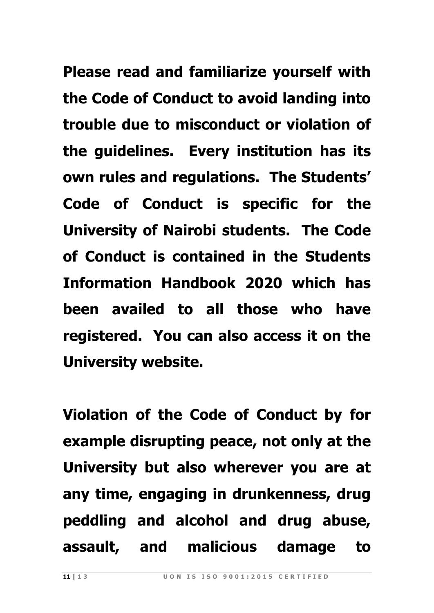**Please read and familiarize yourself with the Code of Conduct to avoid landing into trouble due to misconduct or violation of the guidelines. Every institution has its own rules and regulations. The Students' Code of Conduct is specific for the University of Nairobi students. The Code of Conduct is contained in the Students Information Handbook 2020 which has been availed to all those who have registered. You can also access it on the University website.**

**Violation of the Code of Conduct by for example disrupting peace, not only at the University but also wherever you are at any time, engaging in drunkenness, drug peddling and alcohol and drug abuse, assault, and malicious damage to**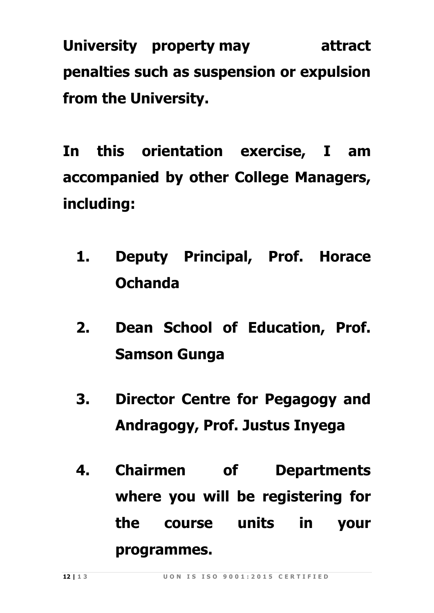**University property may attract penalties such as suspension or expulsion from the University.**

**In this orientation exercise, I am accompanied by other College Managers, including:**

- **1. Deputy Principal, Prof. Horace Ochanda**
- **2. Dean School of Education, Prof. Samson Gunga**
- **3. Director Centre for Pegagogy and Andragogy, Prof. Justus Inyega**
- **4. Chairmen of Departments where you will be registering for the course units in your programmes.**